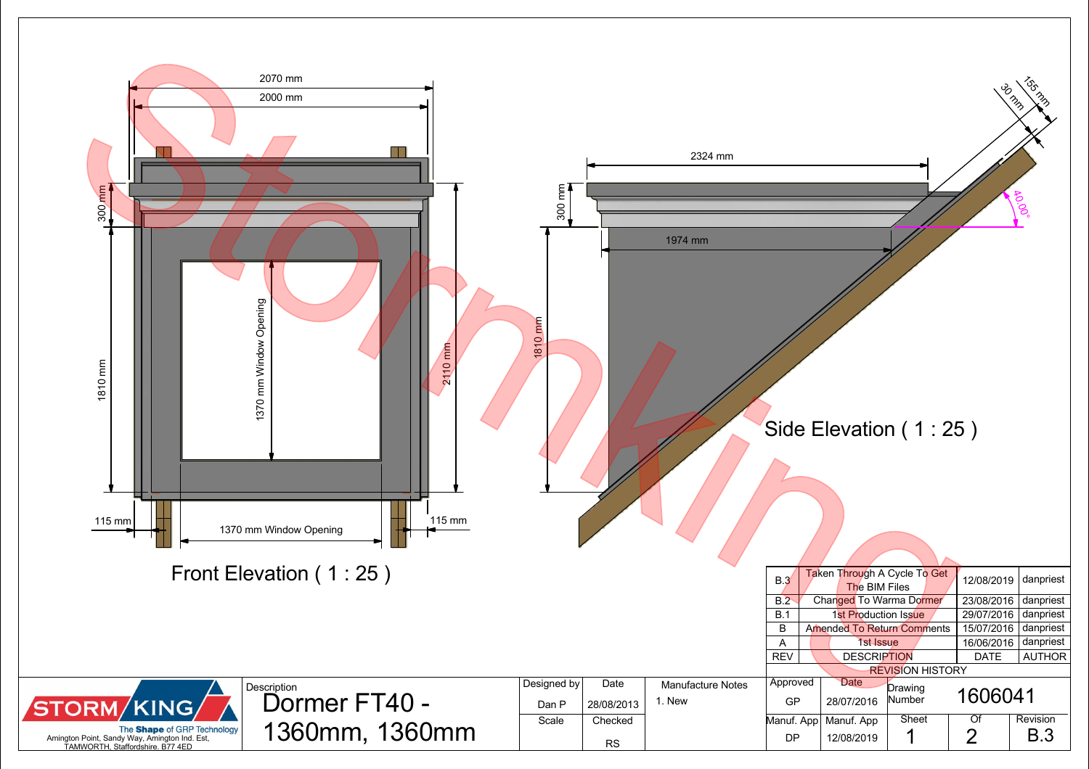